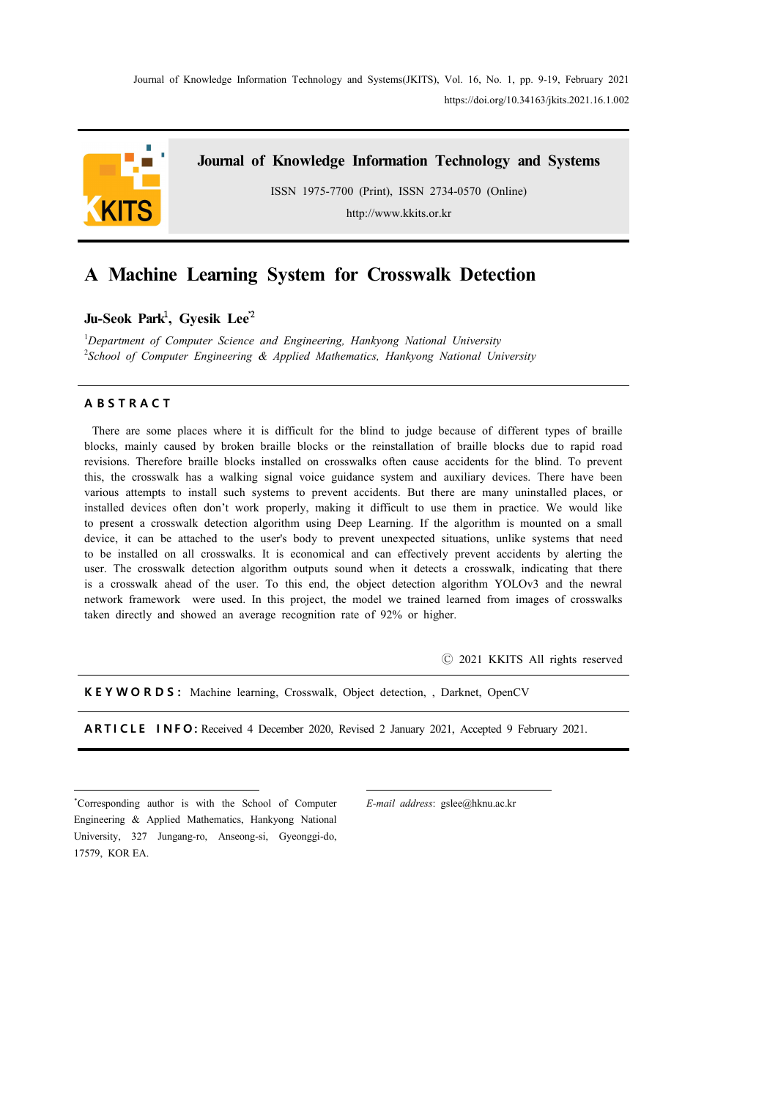Journal of Knowledge Information Technology and Systems(JKITS), Vol. 16, No. 1, pp. 9-19, February 2021 https://doi.org/10.34163/jkits.2021.16.1.002



**Journal of Knowledge Information Technology and Systems**

ISSN 1975-7700 (Print), ISSN 2734-0570 (Online)

http://www.kkits.or.kr

# **A Machine Learning System for Crosswalk Detection**

**Ju-Seok Park**<sup>1</sup> **, Gyesik Lee**\*<sup>2</sup>

<sup>1</sup>*Department of Computer Science and Engineering, Hankyong National University* <sup>2</sup>*School of Computer Engineering & Applied Mathematics, Hankyong National University*

### **A B S T R A C T**

There are some places where it is difficult for the blind to judge because of different types of braille blocks, mainly caused by broken braille blocks or the reinstallation of braille blocks due to rapid road revisions. Therefore braille blocks installed on crosswalks often cause accidents for the blind. To prevent this, the crosswalk has a walking signal voice guidance system and auxiliary devices. There have been various attempts to install such systems to prevent accidents. But there are many uninstalled places, or installed devices often don't work properly, making it difficult to use them in practice. We would like to present a crosswalk detection algorithm using Deep Learning. If the algorithm is mounted on a small device, it can be attached to the user's body to prevent unexpected situations, unlike systems that need to be installed on all crosswalks. It is economical and can effectively prevent accidents by alerting the user. The crosswalk detection algorithm outputs sound when it detects a crosswalk, indicating that there is a crosswalk ahead of the user. To this end, the object detection algorithm YOLOv3 and the newral network framework were used. In this project, the model we trained learned from images of crosswalks taken directly and showed an average recognition rate of 92% or higher.

Ⓒ 2021 KKITS All rights reserved

**K E Y W O R D S :** Machine learning, Crosswalk, Object detection, , Darknet, OpenCV

**A R T I C L E I N F O :** Received 4 December 2020, Revised 2 January 2021, Accepted 9 February 2021.

\*Corresponding author is with the School of Computer Engineering & Applied Mathematics, Hankyong National University, 327 Jungang-ro, Anseong-si, Gyeonggi-do, 17579, KOR EA.

*E-mail address*: gslee@hknu.ac.kr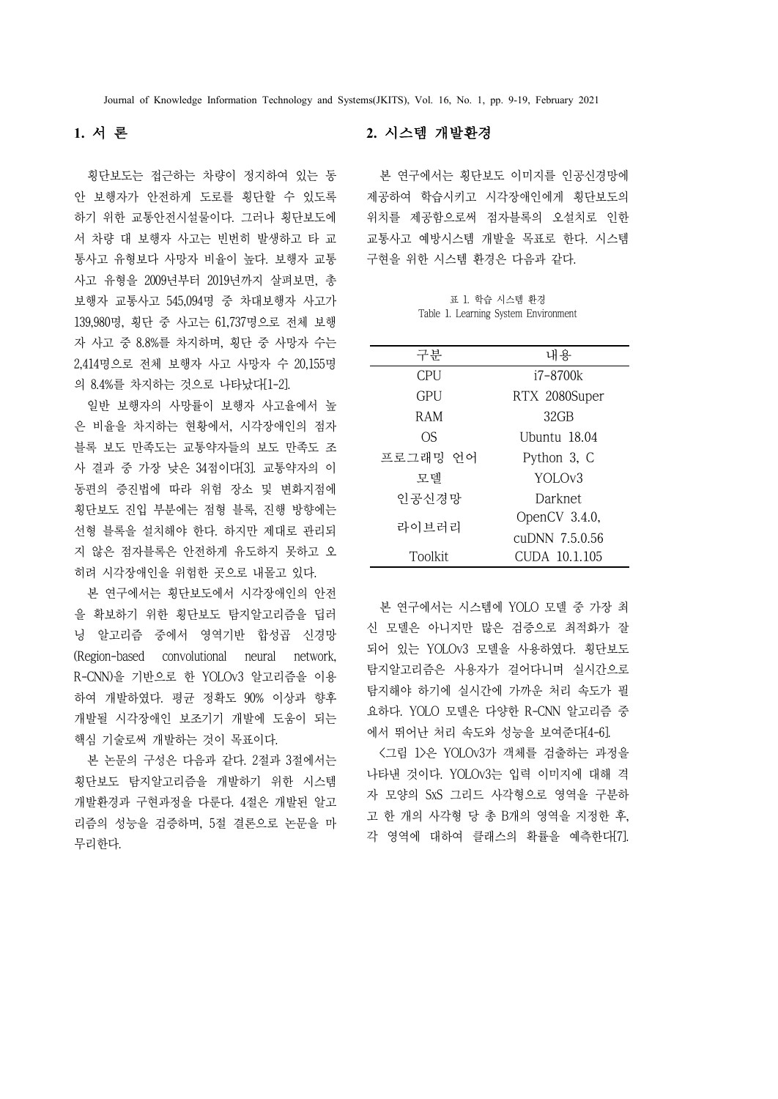# **1.** 서 론

횡단보도는 접근하는 차량이 정지하여 있는 동 안 보행자가 안전하게 도로를 횡단할 수 있도록 하기 위한 교통안전시설물이다. 그러나 횡단보도에 서 차량 대 보행자 사고는 빈번히 발생하고 타 교 통사고 유형보다 사망자 비율이 높다. 보행자 교통 사고 유형을 2009년부터 2019년까지 살펴보면, 총 보행자 교통사고 545,094명 중 차대보행자 사고가 139,980명, 횡단 중 사고는 61,737명으로 전체 보행 자 사고 중 8.8%를 차지하며, 횡단 중 사망자 수는 2,414명으로 전체 보행자 사고 사망자 수 20,155명 의 8.4%를 차지하는 것으로 나타났다[1-2].

일반 보행자의 사망률이 보행자 사고율에서 높 은 비율을 차지하는 현황에서, 시각장애인의 점자 블록 보도 만족도는 교통약자들의 보도 만족도 조 사 결과 중 가장 낮은 34점이다[3]. 교통약자의 이 동편의 증진법에 따라 위험 장소 및 변화지점에 횡단보도 진입 부분에는 점형 블록, 진행 방향에는 선형 블록을 설치해야 한다. 하지만 제대로 관리되 지 않은 점자블록은 안전하게 유도하지 못하고 오 히려 시각장애인을 위험한 곳으로 내몰고 있다.<br>-<br>본 연구에서는 횡단보도에서 시각장애인의 안전

을 확보하기 위한 횡단보도 탐지알고리즘을 딥러 닝 알고리즘 중에서 영역기반 합성곱 신경망 (Region-based convolutional neural network, R-CNN)을 기반으로 한 YOLOv3 알고리즘을 이용 하여 개발하였다. 평균 정확도 90% 이상과 향후 개발될 시각장애인 보조기기 개발에 도움이 되는 핵심 기술로써 개발하는 것이 목표이다.

본 논문의 구성은 다음과 같다. 2절과 3절에서는 횡단보도 탐지알고리즘을 개발하기 위한 시스템 개발환경과 구현과정을 다룬다. 4절은 개발된 알고 리즘의 성능을 검증하며, 5절 결론으로 논문을 마 무리한다.

### **2.** 시스템 개발환경

본 연구에서는 횡단보도 이미지를 인공신경망에 제공하여 학습시키고 시각장애인에게 횡단보도의 위치를 제공함으로써 점자블록의 오설치로 인한 교통사고 예방시스템 개발을 목표로 한다. 시스템 구현을 위한 시스템 환경은 다음과 같다.

표 1. 학습 시스템 환경 Table 1. Learning System Environment

| 구분       | 내용                 |
|----------|--------------------|
| CPU      | i7-8700k           |
| GPU      | RTX 2080Super      |
| RAM      | 32 <sub>GB</sub>   |
| OS       | Ubuntu 18.04       |
| 프로그래밍 언어 | Python 3, C        |
| 모델       | YOLOv <sub>3</sub> |
| 인공신경망    | Darknet            |
| 라이브러리    | OpenCV 3.4.0,      |
|          | cuDNN 7.5.0.56     |
| Toolkit  | CUDA 10.1.105      |

본 연구에서는 시스템에 YOLO 모델 중 가장 최 신 모델은 아니지만 많은 검증으로 최적화가 잘 되어 있는 YOLOv3 모델을 사용하였다. 횡단보도 탐지알고리즘은 사용자가 걸어다니며 실시간으로 탐지해야 하기에 실시간에 가까운 처리 속도가 필 요하다. YOLO 모델은 다양한 R-CNN 알고리즘 중 에서 뛰어난 처리 속도와 성능을 보여준다[4-6].

<그림 1>은 YOLOv3가 객체를 검출하는 과정을 나타낸 것이다. YOLOv3는 입력 이미지에 대해 격 자 모양의 SxS 그리드 사각형으로 영역을 구분하 각 영역에 대하여 클래스의 확률을 예측한다[7].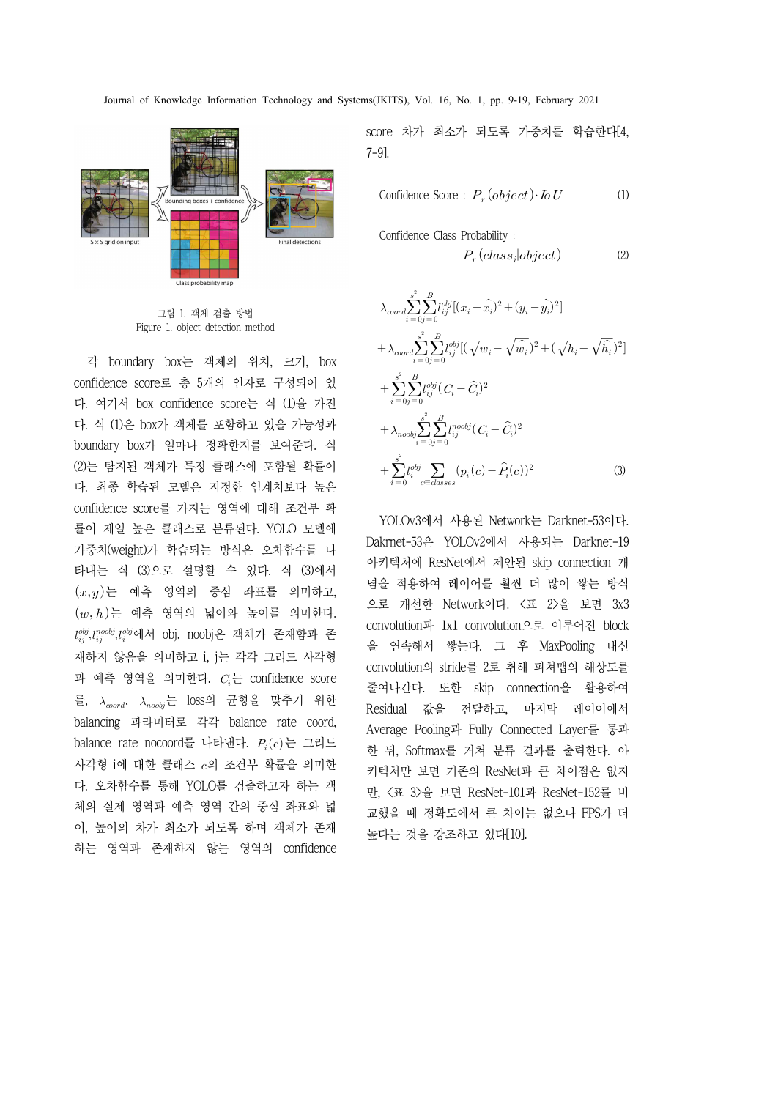

그림 1. 객체 검출 방법 Figure 1. object detection method

각 boundary box는 객체의 위치, 크기, box confidence score로 총 5개의 인자로 구성되어 있 다. 여기서 box confidence score는 식 (1)을 가진 다. 식 (1)은 box가 객체를 포함하고 있을 가능성과 boundary box가 얼마나 정확한지를 보여준다. 식 (2)는 탐지된 객체가 특정 클래스에 포함될 확률이 다. 최종 학습된 모델은 지정한 임계치보다 높은 confidence score를 가지는 영역에 대해 조건부 확 률이 제일 높은 클래스로 분류된다. YOLO 모델에 가중치(weight)가 학습되는 방식은 오차함수를 나 타내는 식 (3)으로 설명할 수 있다. 식 (3)에서  $(x, y)$ 는 예측 영역의 중심 좌표를 의미하고,  $(w, h)$ 는 예측 영역의 넓이와 높이를 의미한다.  $l_{ij}^{obj}, l_{ij}^{nobj}, l_{ij}^{obj}$ 에서 obj, noobj은 객체가 존재함과 존 재하지 않음을 의미하고 i, j는 각각 그리드 사각형 과 예측 영역을 의미한다.  $C_i$ 는 confidence score 를,  $\lambda_{\mathit{word}}, \ \ \lambda_{\mathit{nobj}}$ 는 loss의 균형을 맞추기 위한  $\qquad \qquad \mathsf{D} \mathsf{acc}$ balancing 파라미터로 각각 balance rate coord, balance rate nocoord를 나타낸다.  $P_i(c)$ 는 그리드 사각형 i에 대한 클래스  $c$ 의 조건부 확률을 의미한 다. 오차함수를 통해 YOLO를 검출하고자 하는 객 체의 실제 영역과 예측 영역 간의 중심 좌표와 넓 이, 높이의 차가 최소가 되도록 하며 객체가 존재 하는 영역과 존재하지 않는 영역의 confidence

score 차가 최소가 되도록 가중치를 학습한다[4, 7-9].

Confidence Score : 
$$
P_r(object) \cdot IoU
$$
 (1)

Confidence Class Probability :

$$
P_r \left( class_i | object \right) \tag{2}
$$

$$
\lambda_{coord} \sum_{i=0}^{s^2} \sum_{j=0}^{B} l_{ij}^{obj} [(x_i - \hat{x_i})^2 + (y_i - \hat{y_i})^2] \n+ \lambda_{coord} \sum_{i=0}^{s^2} \sum_{j=0}^{B} l_{ij}^{obj} [(\sqrt{w_i} - \sqrt{\hat{w_i}})^2 + (\sqrt{h_i} - \sqrt{\hat{h_i}})^2] \n+ \sum_{i=0}^{s^2} \sum_{j=0}^{B} l_{ij}^{obj} (C_i - \hat{C}_i)^2 \n+ \lambda_{nodoj} \sum_{i=0}^{s^2} \sum_{j=0}^{B} l_{ij}^{nodoj} (C_i - \hat{C}_i)^2 \n+ \sum_{i=0}^{s^2} l_{ij}^{obj} \sum_{c \in classes} (p_i(c) - \hat{P}_i(c))^2
$$
\n(3)

Dakrnet-53은 YOLOv2에서 사용되는 Darknet-19 아키텍처에 ResNet에서 제안된 skip connection 개 념을 적용하여 레이어를 훨씬 더 많이 쌓는 방식 으로 개선한 Network이다. <표 2>을 보면 3x3 convolution과 1x1 convolution으로 이루어진 block 을 연속해서 쌓는다. 그 후 MaxPooling 대신 convolution의 stride를 2로 취해 피쳐맵의 해상도를 줄여나간다. 또한 skip connection을 활용하여 Residual 값을 전달하고, 마지막 레이어에서 Average Pooling과 Fully Connected Layer를 통과 한 뒤, Softmax를 거쳐 분류 결과를 출력한다. 아 키텍처만 보면 기존의 ResNet과 큰 차이점은 없지 만, <표 3>을 보면 ResNet-101과 ResNet-152를 비 교했을 때 정확도에서 큰 차이는 없으나 FPS가 더 높다는 것을 강조하고 있다[10].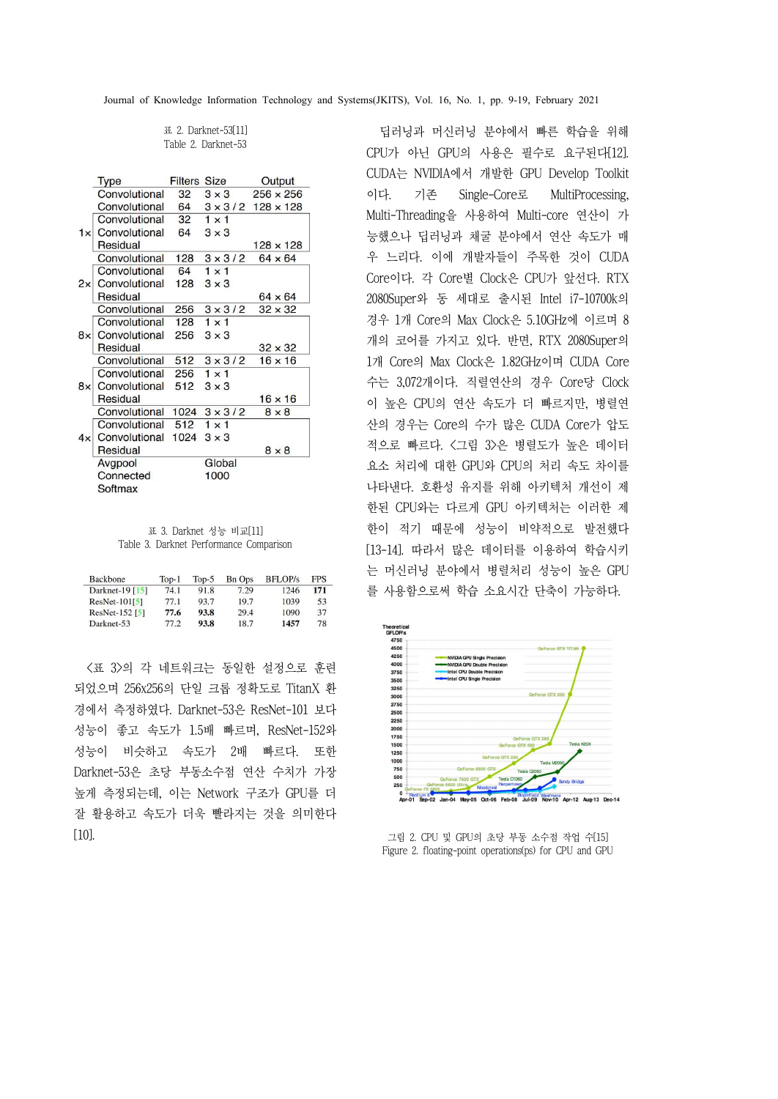표 2. Darknet-53[11] Table 2. Darknet-53

|    | <b>Type</b>   | <b>Filters Size</b> |                | Output                          |
|----|---------------|---------------------|----------------|---------------------------------|
|    | Convolutional | 32                  | $3 \times 3$   | $256 \times 256$                |
|    | Convolutional | 64                  |                | $3 \times 3/2$ 128 $\times$ 128 |
|    | Convolutional | 32                  | $1 \times 1$   |                                 |
| 1x | Convolutional | 64                  | $3 \times 3$   |                                 |
|    | Residual      |                     |                | $128 \times 128$                |
|    | Convolutional | 128                 | $3 \times 3/2$ | $64 \times 64$                  |
|    | Convolutional | 64                  | $1 \times 1$   |                                 |
| 2x | Convolutional | 128                 | $3 \times 3$   |                                 |
|    | Residual      |                     |                | $64 \times 64$                  |
|    | Convolutional | 256                 | $3 \times 3/2$ | $32 \times 32$                  |
|    | Convolutional | 128                 | $1 \times 1$   |                                 |
| 8× | Convolutional | 256                 | $3 \times 3$   |                                 |
|    | Residual      |                     |                | $32 \times 32$                  |
|    | Convolutional | 512                 | $3 \times 3/2$ | $16 \times 16$                  |
|    | Convolutional | 256                 | $1 \times 1$   |                                 |
| 8x | Convolutional | 512                 | $3 \times 3$   |                                 |
|    | Residual      |                     |                | $16 \times 16$                  |
|    | Convolutional | 1024                | $3 \times 3/2$ | $8 \times 8$                    |
|    | Convolutional | 512                 | $1 \times 1$   |                                 |
| 4x | Convolutional | 1024                | $3 \times 3$   |                                 |
|    | Residual      |                     |                | $8 \times 8$                    |
|    | Avgpool       |                     | Global         |                                 |
|    | Connected     |                     | 1000           |                                 |
|    | Softmax       |                     |                |                                 |

표 3. Darknet 성능 비교[11] Table 3. Darknet Performance Comparison

| Backbone                  | $Top-1$ | $Top-5$ | <b>Bn Ops</b> | <b>BFLOP</b> /s | <b>FPS</b> |
|---------------------------|---------|---------|---------------|-----------------|------------|
| Darknet-19 [15]           | 74.1    | 91.8    | 7.29          | 1246            | 171        |
| $ResNet-101[5]$           | 77.1    | 93.7    | 19.7          | 1039            | 53         |
| ResNet-152 <sup>[5]</sup> | 77.6    | 93.8    | 29.4          | 1090            | 37         |
| Darknet-53                | 77.2    | 93.8    | 18.7          | 1457            | 78         |

<표 3>의 각 네트워크는 동일한 설정으로 훈련 되었으며 256x256의 단일 크롭 정확도로 TitanX 환<br>경에서 측정하였다. Darknet-53은 ResNet-101 보다  $\frac{2750}{2500}$ <br>성능이 좋고 속도가 1.5배 빠르며, ResNet-152와  $\frac{2750}{1750}$ 경에서 측정하였다. Darknet-53은 ResNet-101 보다 성능이 좋고 속도가 1.5배 빠르며, ResNet-152와 성능이 비슷하고 속도가 2배 빠르다. 또한 Darknet-53은 초당 부동소수점 연산 수치가 가장 높게 측정되는데, 이는 Network 구조가 GPU를 더 잘 활용하고 속도가 더욱 빨라지는 것을 의미한다 [10].

딥러닝과 머신러닝 분야에서 빠른 학습을 위해 CPU가 아닌 GPU의 사용은 필수로 요구된다[12]. CUDA는 NVIDIA에서 개발한 GPU Develop Toolkit 이다. 기존 Single-Core로 MultiProcessing, Multi-Threading을 사용하여 Multi-core 연산이 가 능했으나 딥러닝과 채굴 분야에서 연산 속도가 매 우 느리다. 이에 개발자들이 주목한 것이 CUDA Core이다. 각 Core별 Clock은 CPU가 앞선다. RTX 2080Super와 동 세대로 출시된 Intel i7-10700k의 경우 1개 Core의 Max Clock은 5.10GHz에 이르며 8 개의 코어를 가지고 있다. 반면, RTX 2080Super의 1개 Core의 Max Clock은 1.82GHz이며 CUDA Core 수는 3,072개이다. 직렬연산의 경우 Core당 Clock 이 높은 CPU의 연산 속도가 더 빠르지만, 병렬연 산의 경우는 Core의 수가 많은 CUDA Core가 압도 적으로 빠르다. <그림 3>은 병렬도가 높은 데이터 요소 처리에 대한 GPU와 CPU의 처리 속도 차이를 나타낸다. 호환성 유지를 위해 아키텍처 개선이 제 한된 CPU와는 다르게 GPU 아키텍처는 이러한 제 한이 적기 때문에 성능이 비약적으로 발전했다 [13-14]. 따라서 많은 데이터를 이용하여 학습시키 는 머신러닝 분야에서 병렬처리 성능이 높은 GPU 를 사용함으로써 학습 소요시간 단축이 가능하다.



그림 2. CPU 및 GPU의 초당 부동 소수점 작업 수[15] Figure 2. floating-point operations(ps) for CPU and GPU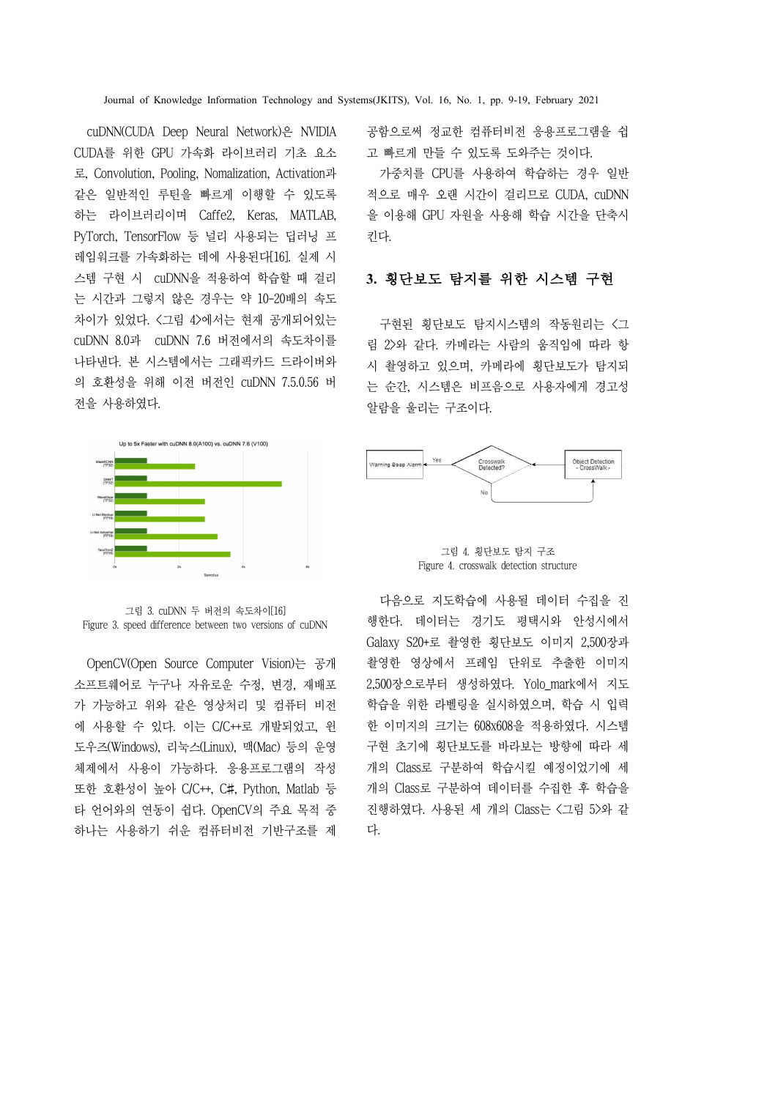cuDNN(CUDA Deep Neural Network)은 NVIDIA CUDA를 위한 GPU 가속화 라이브러리 기초 요소 로, Convolution, Pooling, Nomalization, Activation과 같은 일반적인 루틴을 빠르게 이행할 수 있도록 하는 라이브러리이며 Caffe2, Keras, MATLAB, PyTorch, TensorFlow 등 널리 사용되는 딥러닝 프 레임워크를 가속화하는 데에 사용된다[16]. 실제 시 스템 구현 시 cuDNN을 적용하여 학습할 때 걸리 는 시간과 그렇지 않은 경우는 약 10-20배의 속도 차이가 있었다. <그림 4>에서는 현재 공개되어있는 cuDNN 8.0과 cuDNN 7.6 버전에서의 속도차이를 나타낸다. 본 시스템에서는 그래픽카드 드라이버와 의 호환성을 위해 이전 버전인 cuDNN 7.5.0.56 버 전을 사용하였다.



그림 3. cuDNN 두 버전의 속도차이[16] Figure 3. speed difference between two versions of cuDNN

OpenCV(Open Source Computer Vision)는 공개 소프트웨어로 누구나 자유로운 수정, 변경, 재배포 가 가능하고 위와 같은 영상처리 및 컴퓨터 비전 에 사용할 수 있다. 이는 C/C++로 개발되었고, 윈 도우즈(Windows), 리눅스(Linux), 맥(Mac) 등의 운영 체제에서 사용이 가능하다. 응용프로그램의 작성 또한 호환성이 높아 C/C++, C#, Python, Matlab 등 타 언어와의 연동이 쉽다. OpenCV의 주요 목적 중 하나는 사용하기 쉬운 컴퓨터비전 기반구조를 제 공함으로써 정교한 컴퓨터비전 응용프로그램을 쉽 고 빠르게 만들 수 있도록 도와주는 것이다.

가중치를 CPU를 사용하여 학습하는 경우 일반 적으로 매우 오랜 시간이 걸리므로 CUDA, cuDNN 을 이용해 GPU 자원을 사용해 학습 시간을 단축시 킨다.

### **3.** 횡단보도 탐지를 위한 시스템 구현

구현된 횡단보도 탐지시스템의 작동원리는 <그 림 2>와 같다. 카메라는 사람의 움직임에 따라 항 시 촬영하고 있으며, 카메라에 횡단보도가 탐지되 는 순간, 시스템은 비프음으로 사용자에게 경고성 알람을 울리는 구조이다.



그림 4. 횡단보도 탐지 구조 Figure 4. crosswalk detection structure

다음으로 지도학습에 사용될 데이터 수집을 진 행한다. 데이터는 경기도 평택시와 안성시에서 Galaxy S20+로 촬영한 횡단보도 이미지 2,500장과 촬영한 영상에서 프레임 단위로 추출한 이미지 2,500장으로부터 생성하였다. Yolo mark에서 지도 학습을 위한 라벨링을 실시하였으며, 학습 시 입력 한 이미지의 크기는 608x608을 적용하였다. 시스템 구현 초기에 횡단보도를 바라보는 방향에 따라 세 개의 Class로 구분하여 학습시킬 예정이었기에 세 개의 Class로 구분하여 데이터를 수집한 후 학습을 진행하였다. 사용된 세 개의 Class는 <그림 5>와 같 다.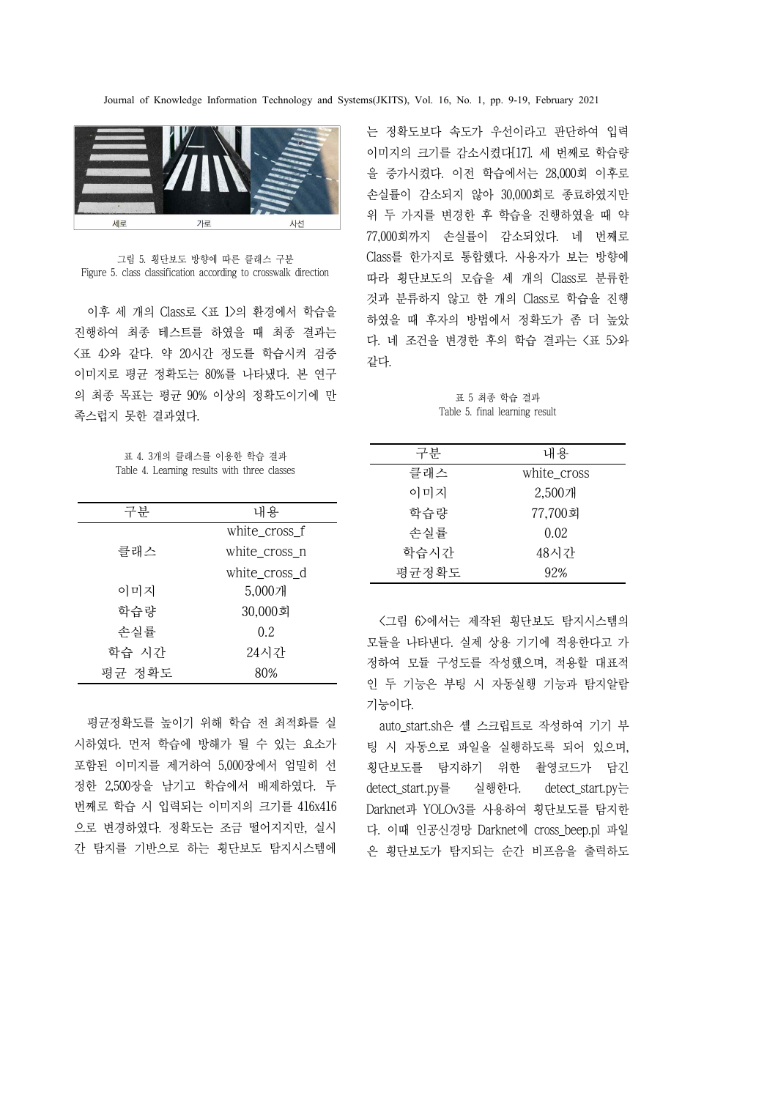

그림 5. 횡단보도 방향에 따른 클래스 구분 Figure 5. class classification according to crosswalk direction

이후 세 개의 Class로 <표 1>의 환경에서 학습을 진행하여 최종 테스트를 하였을 때 최종 결과는 <표 4>와 같다. 약 20시간 정도를 학습시켜 검증 이미지로 평균 정확도는 80%를 나타냈다. 본 연구 의 최종 목표는 평균 90% 이상의 정확도이기에 만 족스럽지 못한 결과였다.

표 4. 3개의 클래스를 이용한 학습 결과 Table 4. Learning results with three classes

| 내용<br>구분<br>white_cross_f |                               |
|---------------------------|-------------------------------|
|                           |                               |
|                           |                               |
| 클래스<br>white_cross_n      |                               |
| white_cross_d             |                               |
| 이미지<br>5,000개             |                               |
| 학습량<br>30,000회            | $\langle$                     |
| 손실률<br>0.2                |                               |
| 학습 시간<br>24시간             | 모듈                            |
| 평균 정확도<br>80%             | 정히<br>$\circ$ $\circ$ $\circ$ |

평균정확도를 높이기 위해 학습 전 최적화를 실 시하였다. 먼저 학습에 방해가 될 수 있는 요소가 포함된 이미지를 제거하여 5,000장에서 엄밀히 선 정한 2,500장을 남기고 학습에서 배제하였다. 두 번째로 학습 시 입력되는 이미지의 크기를 416x416 으로 변경하였다. 정확도는 조금 떨어지지만, 실시 간 탐지를 기반으로 하는 횡단보도 탐지시스템에

는 정확도보다 속도가 우선이라고 판단하여 입력 이미지의 크기를 감소시켰다[17]. 세 번째로 학습량 을 증가시켰다. 이전 학습에서는 28,000회 이후로 손실률이 감소되지 않아 30,000회로 종료하였지만 위 두 가지를 변경한 후 학습을 진행하였을 때 약 77,000회까지 손실률이 감소되었다. 네 번째로 Class를 한가지로 통합했다. 사용자가 보는 방향에 따라 횡단보도의 모습을 세 개의 Class로 분류한 것과 분류하지 않고 한 개의 Class로 학습을 진행 하였을 때 후자의 방법에서 정확도가 좀 더 높았 다. 네 조건을 변경한 후의 학습 결과는 <표 5>와 같다.

표 5 최종 학습 결과 Table 5. final learning result

| 구분    | 내용          |
|-------|-------------|
| 클래스   | white_cross |
| 이미지   | 2,500개      |
| 학습량   | 77,700회     |
| 손실률   | 0.02        |
| 학습시간  | 48시간        |
| 평균정확도 | 92%         |

<그림 6>에서는 제작된 횡단보도 탐지시스템의 모듈을 나타낸다. 실제 상용 기기에 적용한다고 가 정하여 모듈 구성도를 작성했으며, 적용할 대표적 인 두 기능은 부팅 시 자동실행 기능과 탐지알람

기능이다. auto\_start.sh은 셸 스크립트로 작성하여 기기 부 횡단보도를 탐지하기 위한 촬영코드가 담긴 detect\_start.py를 실행한다. detect\_start.py는 Darknet과 YOLOv3를 사용하여 횡단보도를 탐지한 다. 이때 인공신경망 Darknet에 cross\_beep.pl 파일 은 횡단보도가 탐지되는 순간 비프음을 출력하도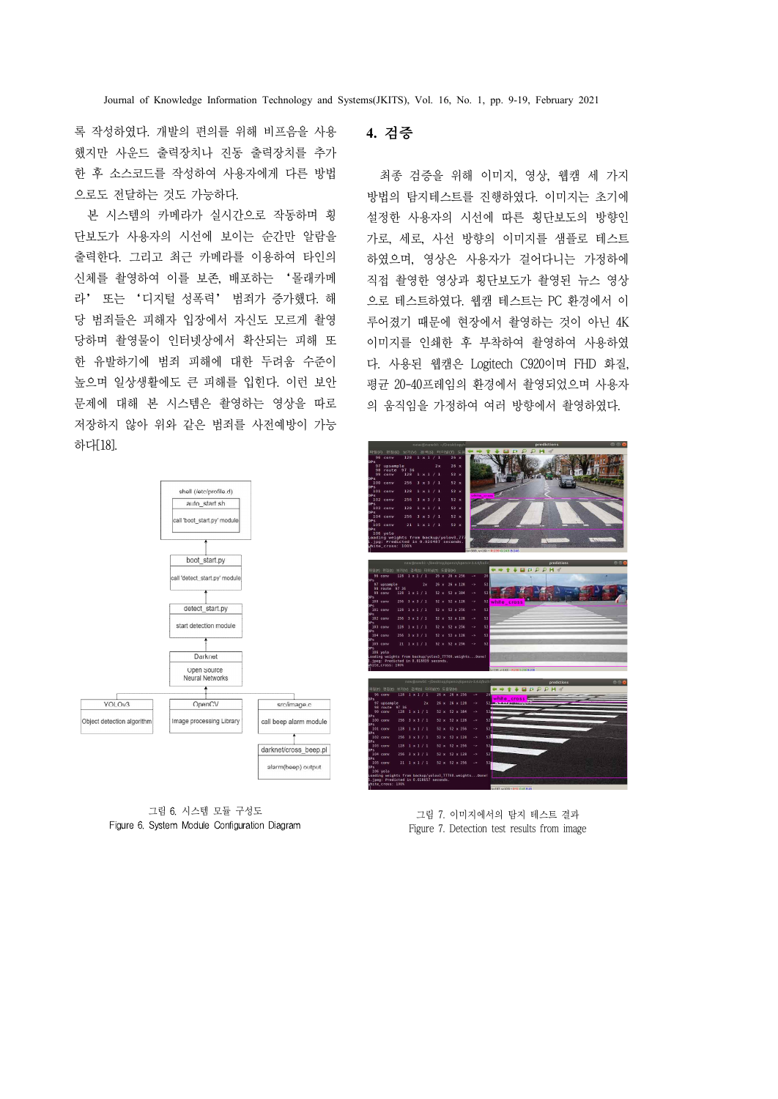록 작성하였다. 개발의 편의를 위해 비프음을 사용 했지만 사운드 출력장치나 진동 출력장치를 추가 한 후 소스코드를 작성하여 사용자에게 다른 방법 으로도 전달하는 것도 가능하다.

본 시스템의 카메라가 실시간으로 작동하며 횡 단보도가 사용자의 시선에 보이는 순간만 알람을 출력한다. 그리고 최근 카메라를 이용하여 타인의 신체를 촬영하여 이를 보존, 배포하는 '몰래카메 라' 또는 '디지털 성폭력' 범죄가 증가했다. 해 당 범죄들은 피해자 입장에서 자신도 모르게 촬영 당하며 촬영물이 인터넷상에서 확산되는 피해 또 높으며 일상생활에도 큰 피해를 입힌다. 이런 보안 문제에 대해 본 시스템은 촬영하는 영상을 따로 저장하지 않아 위와 같은 범죄를 사전예방이 가능 하다[18].



그림 6. 시스템 모듈 구성도 Figure 6. System Module Configuration Diagram

# **4.** 검증

한 유발하기에 범죄 피해에 대한 두려움 수준이 다. 사용된 웹캠은 Logitech C920이며 FHD 화질, 최종 검증을 위해 이미지, 영상, 웹캠 세 가지 방법의 탐지테스트를 진행하였다. 이미지는 초기에 설정한 사용자의 시선에 따른 횡단보도의 방향인 가로, 세로, 사선 방향의 이미지를 샘플로 테스트 하였으며, 영상은 사용자가 걸어다니는 가정하에 직접 촬영한 영상과 횡단보도가 촬영된 뉴스 영상 으로 테스트하였다. 웹캠 테스트는 PC 환경에서 이 루어졌기 때문에 현장에서 촬영하는 것이 아닌 4K 이미지를 인쇄한 후 부착하여 촬영하여 사용하였 평균 20-40프레임의 환경에서 촬영되었으며 사용자 의 움직임을 가정하여 여러 방향에서 촬영하였다.



그림 7. 이미지에서의 탐지 테스트 결과 Figure 7. Detection test results from image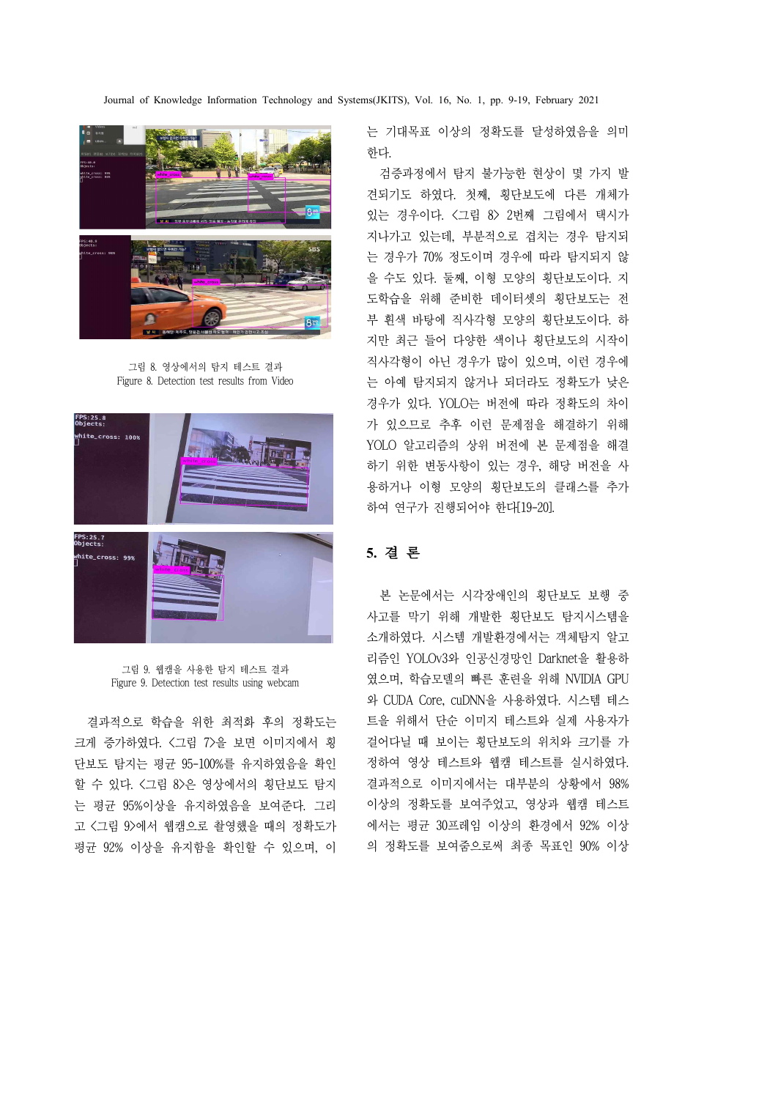

그림 8. 영상에서의 탐지 테스트 결과 Figure 8. Detection test results from Video



그림 9. 웹캠을 사용한 탐지 테스트 결과 Figure 9. Detection test results using webcam

결과적으로 학습을 위한 최적화 후의 정확도는 크게 증가하였다. <그림 7>을 보면 이미지에서 횡 할 수 있다. <그림 8>은 영상에서의 횡단보도 탐지 는 평균 95%이상을 유지하였음을 보여준다. 그리 고 <그림 9>에서 웹캠으로 촬영했을 때의 정확도가 평균 92% 이상을 유지함을 확인할 수 있으며, 이 는 기대목표 이상의 정확도를 달성하였음을 의미 한다.<br>- 검증과정에서 탐지 불가능한 현상이 몇 가지 발

견되기도 하였다. 첫째, 횡단보도에 다른 개체가 있는 경우이다. <그림 8> 2번째 그림에서 택시가 지나가고 있는데, 부분적으로 겹치는 경우 탐지되 는 경우가 70% 정도이며 경우에 따라 탐지되지 않 을 수도 있다. 둘째, 이형 모양의 횡단보도이다. 지 도학습을 위해 준비한 데이터셋의 횡단보도는 전 부 흰색 바탕에 직사각형 모양의 횡단보도이다. 하 지만 최근 들어 다양한 색이나 횡단보도의 시작이 직사각형이 아닌 경우가 많이 있으며, 이런 경우에 는 아예 탐지되지 않거나 되더라도 정확도가 낮은 경우가 있다. YOLO는 버전에 따라 정확도의 차이 가 있으므로 추후 이런 문제점을 해결하기 위해 YOLO 알고리즘의 상위 버전에 본 문제점을 해결 하기 위한 변동사항이 있는 경우, 해당 버전을 사 용하거나 이형 모양의 횡단보도의 클래스를 추가 하여 연구가 진행되어야 한다[19-20].

# **5.** 결 론

단보도 탐지는 평균 95-100%를 유지하였음을 확인 정하여 영상 테스트와 웹캠 테스트를 실시하였다. 본 논문에서는 시각장애인의 횡단보도 보행 중 사고를 막기 위해 개발한 횡단보도 탐지시스템을 소개하였다. 시스템 개발환경에서는 객체탐지 알고 리즘인 YOLOv3와 인공신경망인 Darknet을 활용하 였으며, 학습모델의 빠른 훈련을 위해 NVIDIA GPU 와 CUDA Core, cuDNN을 사용하였다. 시스템 테스 트을 위해서 단순 이미지 테스트와 실제 사용자가 걸어다닐 때 보이는 횡단보도의 위치와 크기를 가 결과적으로 이미지에서는 대부분의 상황에서 98% 이상의 정확도를 보여주었고, 영상과 웹캠 테스트 에서는 평균 30프레임 이상의 환경에서 92% 이상 의 정확도를 보여줌으로써 최종 목표인 90% 이상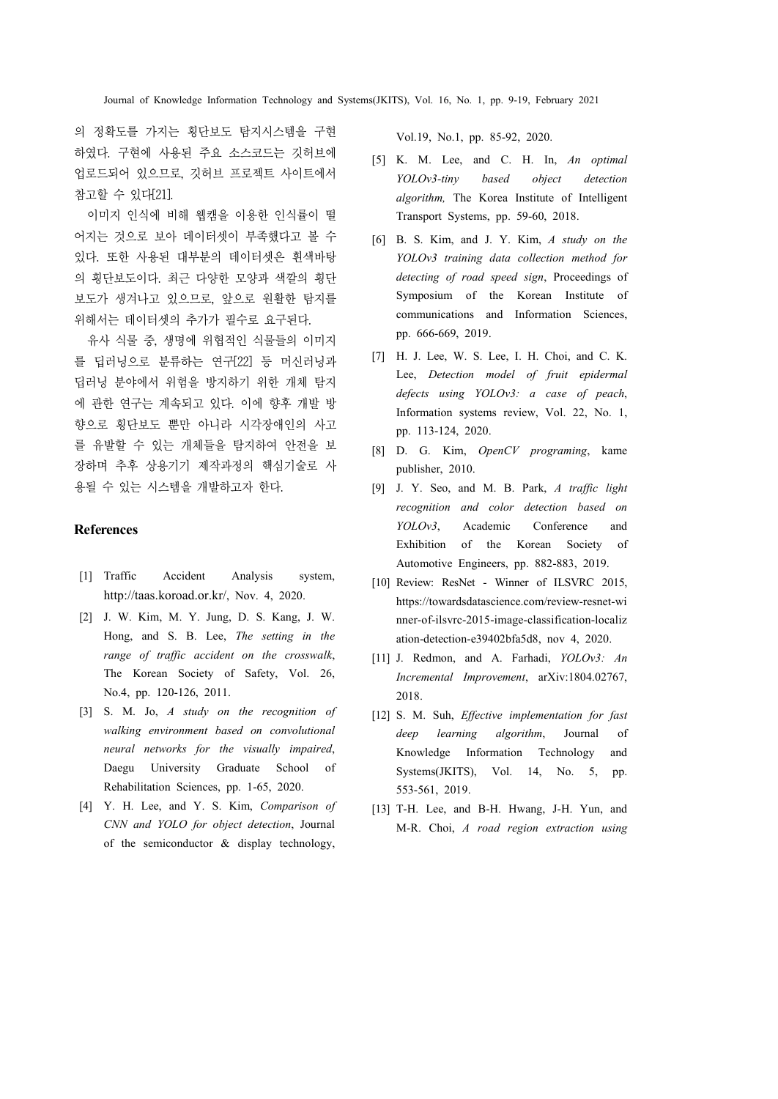의 정확도를 가지는 횡단보도 탐지시스템을 구현 하였다. 구현에 사용된 주요 소스코드는 깃허브에 업로드되어 있으므로, 깃허브 프로젝트 사이트에서 참고할 수 있다[21].

이미지 인식에 비해 웹캠을 이용한 인식률이 떨 어지는 것으로 보아 데이터셋이 부족했다고 볼 수 있다. 또한 사용된 대부분의 데이터셋은 흰색바탕 의 횡단보도이다. 최근 다양한 모양과 색깔의 횡단 보도가 생겨나고 있으므로, 앞으로 원활한 탐지를 위해서는 데이터셋의 추가가 필수로 요구된다.

유사 식물 중, 생명에 위협적인 식물들의 이미지 를 딥러닝으로 분류하는 연구[22] 등 머신러닝과 딥러닝 분야에서 위험을 방지하기 위한 개체 탐지 에 관한 연구는 계속되고 있다. 이에 향후 개발 방 향으로 횡단보도 뿐만 아니라 시각장애인의 사고 를 유발할 수 있는 개체들을 탐지하여 안전을 보 장하며 추후 상용기기 제작과정의 핵심기술로 사 용될 수 있는 시스템을 개발하고자 한다.

### **References**

- [1] Traffic Accident Analysis system, http://taas.koroad.or.kr/, Nov. 4, 2020.
- [2] J. W. Kim, M. Y. Jung, D. S. Kang, J. W. Hong, and S. B. Lee, *The setting in the range of traffic accident on the crosswalk*, The Korean Society of Safety, Vol. 26, No.4, pp. 120-126, 2011.
- [3] S. M. Jo, *A study on the recognition of walking environment based on convolutional neural networks for the visually impaired*, Daegu University Graduate School of Rehabilitation Sciences, pp. 1-65, 2020.
- [4] Y. H. Lee, and Y. S. Kim, *Comparison of CNN and YOLO for object detection*, Journal of the semiconductor  $\&$  display technology,

Vol.19, No.1, pp. 85-92, 2020.

- [5] K. M. Lee, and C. H. In, *An optimal YOLOv3-tiny based object detection algorithm,* The Korea Institute of Intelligent Transport Systems, pp. 59-60, 2018.
- [6] B. S. Kim, and J. Y. Kim, *A study on the YOLOv3 training data collection method for detecting of road speed sign*, Proceedings of Symposium of the Korean Institute of communications and Information Sciences, pp. 666-669, 2019.
- [7] H. J. Lee, W. S. Lee, I. H. Choi, and C. K. Lee, *Detection model of fruit epidermal*  Information systems review, Vol. 22, No. 1, pp. 113-124, 2020.
- [8] D. G. Kim, *OpenCV programing*, kame publisher, 2010.
- [9] J. Y. Seo, and M. B. Park, *A traffic light recognition and color detection based on YOLOv3*, Academic Conference and Exhibition of the Korean Society of Automotive Engineers, pp. 882-883, 2019.
- [10] Review: ResNet Winner of ILSVRC 2015, https://towardsdatascience.com/review-resnet-wi nner-of-ilsvrc-2015-image-classification-localiz ation-detection-e39402bfa5d8, nov 4, 2020.
- [11] J. Redmon, and A. Farhadi, *YOLOv3: An Incremental Improvement*, arXiv:1804.02767, 2018.
- [12] S. M. Suh, *Effective implementation for fast deep learning algorithm*, Journal of Knowledge Information Technology and Systems(JKITS), Vol. 14, No. 5, pp. 553-561, 2019.
- [13] T-H. Lee, and B-H. Hwang, J-H. Yun, and M-R. Choi, *A road region extraction using*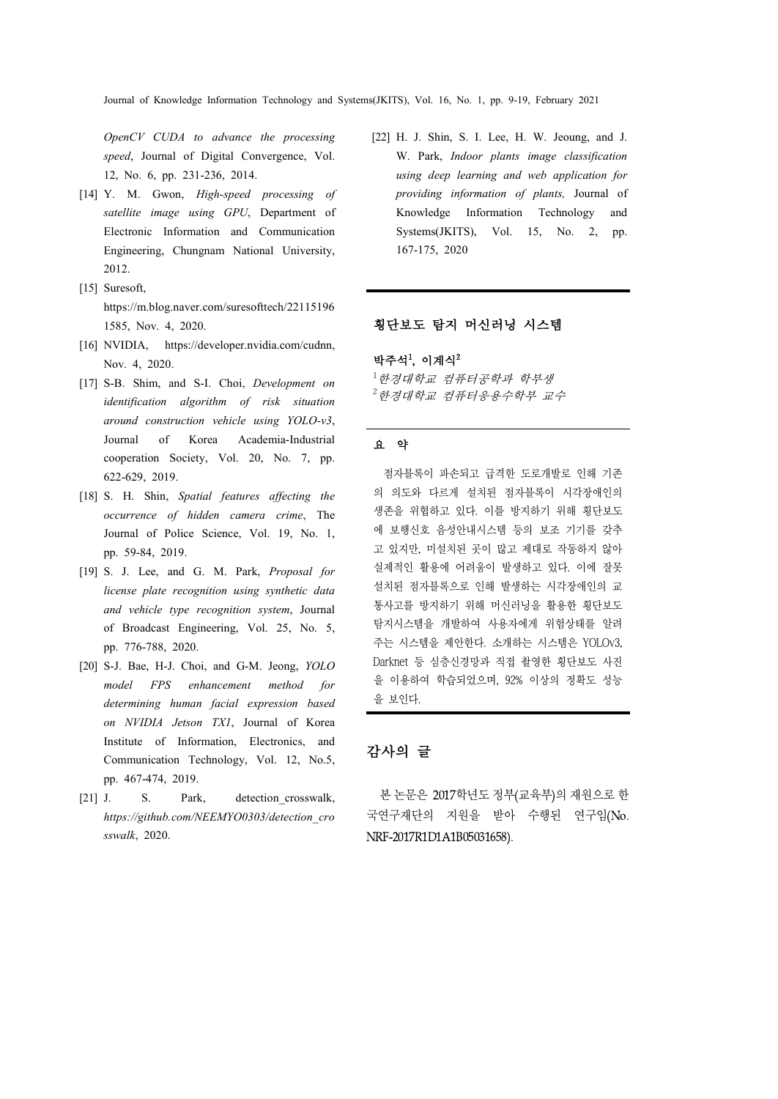*OpenCV CUDA to advance the processing speed*, Journal of Digital Convergence, Vol. 12, No. 6, pp. 231-236, 2014.

- [14] Y. M. Gwon, *High-speed processing of satellite image using GPU*, Department of Electronic Information and Communication Engineering, Chungnam National University, 2012.
- [15] Suresoft, https://m.blog.naver.com/suresofttech/22115196 1585, Nov. 4, 2020.
- [16] NVIDIA, https://developer.nvidia.com/cudnn, Nov. 4, 2020.
- [17] S-B. Shim, and S-I. Choi, *Development on identification algorithm of risk situation around construction vehicle using YOLO-v3*, Journal of Korea Academia-Industrial cooperation Society, Vol. 20, No. 7, pp. 622-629, 2019.
- [18] S. H. Shin, *Spatial features affecting the occurrence of hidden camera crime*, The Journal of Police Science, Vol. 19, No. 1, pp. 59-84, 2019.
- [19] S. J. Lee, and G. M. Park, *Proposal for license plate recognition using synthetic data and vehicle type recognition system*, Journal of Broadcast Engineering, Vol. 25, No. 5, pp. 776-788, 2020.
- [20] S-J. Bae, H-J. Choi, and G-M. Jeong, *YOLO model FPS enhancement method for determining human facial expression based on NVIDIA Jetson TX1*, Journal of Korea Institute of Information, Electronics, and Communication Technology, Vol. 12, No.5, pp. 467-474, 2019.
- [21] J. S. Park, detection crosswalk, *https://github.com/NEEMYO0303/detection\_cro sswalk*, 2020.

[22] H. J. Shin, S. I. Lee, H. W. Jeoung, and J. W. Park, *Indoor plants image classification using deep learning and web application for providing information of plants,* Journal of Knowledge Information Technology and Systems(JKITS), Vol. 15, No. 2, pp. 167-175, 2020

### 횡단보도 탐지 머신러닝 시스템

#### 박주석<sup>1</sup>, 이계식<sup>2</sup>

 $^{-1}$ 한경대학교 컴퓨터공학과 학부생  $2$ 한경대학교 컴퓨터응용수학부 교수

### 요 약

 점자블록이 파손되고 급격한 도로개발로 인해 기존 의 의도와 다르게 설치된 점자블록이 시각장애인의 생존을 위협하고 있다. 이를 방지하기 위해 횡단보도 에 보행신호 음성안내시스템 등의 보조 기기를 갖추 고 있지만, 미설치된 곳이 많고 제대로 작동하지 않아 실제적인 활용에 어려움이 발생하고 있다. 이에 잘못 설치된 점자블록으로 인해 발생하는 시각장애인의 교 통사고를 방지하기 위해 머신러닝을 활용한 횡단보도 탐지시스템을 개발하여 사용자에게 위험상태를 알려 주는 시스템을 제안한다. 소개하는 시스템은 YOLOv3, Darknet 등 심층신경망과 직접 촬영한 횡단보도 사진 을 이용하여 학습되었으며, 92% 이상의 정확도 성능 을 보인다.

# 감사의 글

본 논문은 2017학년도 정부(교육부)의 재원으로 한 국연구재단의 지원을 받아 수행된 연구임(No. NRF-2017R1D1A1B05031658).